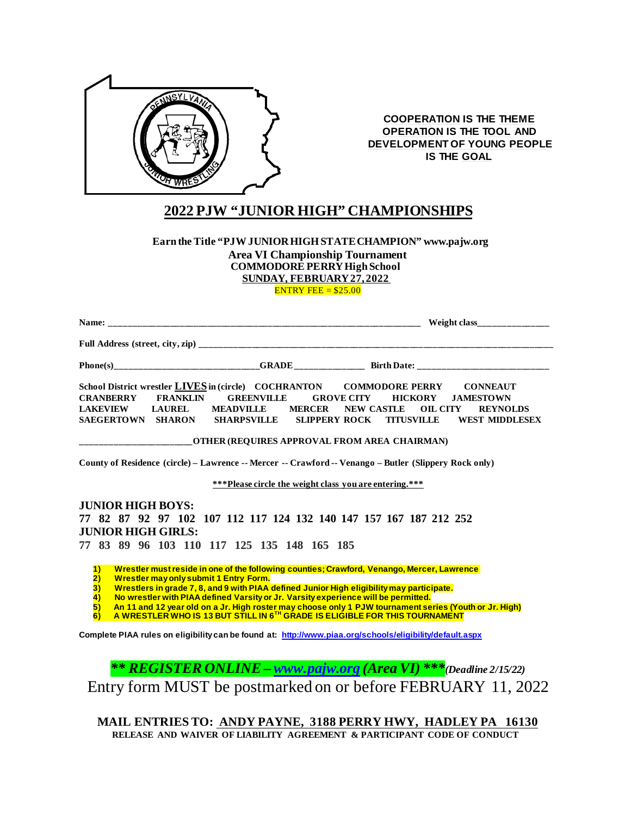

**COOPERATION IS THE THEME OPERATION IS THE TOOL AND DEVELOPMENT OF YOUNG PEOPLE IS THE GOAL**

# **2022 PJW "JUNIOR HIGH" CHAMPIONSHIPS**

### **Earn the Title "PJW JUNIOR HIGH STATE CHAMPION" www.pajw.org Area VI Championship Tournament COMMODORE PERRYHigh School SUNDAY, FEBRUARY 27, 2022**

ENTRY FEE =  $$25.00$ 

|                                                                                                                                                                     |                                                                        | Weight class_______________                                                                                                                                                                                                                        |  |  |
|---------------------------------------------------------------------------------------------------------------------------------------------------------------------|------------------------------------------------------------------------|----------------------------------------------------------------------------------------------------------------------------------------------------------------------------------------------------------------------------------------------------|--|--|
|                                                                                                                                                                     |                                                                        |                                                                                                                                                                                                                                                    |  |  |
|                                                                                                                                                                     |                                                                        |                                                                                                                                                                                                                                                    |  |  |
| <b>CRANBERRY</b><br><b>FRANKLIN</b><br><b>LAKEVIEW</b><br><b>LAUREL</b><br>SAEGERTOWN SHARON                                                                        | <b>GREENVILLE</b><br>MEADVILLE MERCER NEW CASTLE<br><b>SHARPSVILLE</b> | School District wrestler <b>LIVES</b> in (circle) COCHRANTON COMMODORE PERRY CONNEAUT<br><b>GROVE CITY HICKORY</b><br><b>JAMESTOWN</b><br><b>OIL CITY</b><br><b>REYNOLDS</b><br><b>SLIPPERY ROCK</b><br><b>TITUSVILLE</b><br><b>WEST MIDDLESEX</b> |  |  |
| ______________________OTHER (REQUIRES APPROVAL FROM AREA CHAIRMAN)                                                                                                  |                                                                        |                                                                                                                                                                                                                                                    |  |  |
| County of Residence (circle) – Lawrence -- Mercer -- Crawford -- Venango – Butler (Slippery Rock only)                                                              |                                                                        |                                                                                                                                                                                                                                                    |  |  |
| <b>***Please circle the weight class you are entering.***</b>                                                                                                       |                                                                        |                                                                                                                                                                                                                                                    |  |  |
| <b>JUNIOR HIGH BOYS:</b>                                                                                                                                            |                                                                        |                                                                                                                                                                                                                                                    |  |  |
| 77 82 87 92 97 102 107 112 117 124 132 140 147 157 167 187 212 252                                                                                                  |                                                                        |                                                                                                                                                                                                                                                    |  |  |
| <b>JUNIOR HIGH GIRLS:</b>                                                                                                                                           |                                                                        |                                                                                                                                                                                                                                                    |  |  |
| 77 83 89 96 103 110 117 125 135 148 165 185                                                                                                                         |                                                                        |                                                                                                                                                                                                                                                    |  |  |
| $\overline{1}$                                                                                                                                                      |                                                                        | Wrestler must reside in one of the following counties; Crawford, Venango, Mercer, Lawrence                                                                                                                                                         |  |  |
| $\overline{2)}$<br><b>Wrestler may only submit 1 Entry Form.</b><br>Wrestlers in grade 7, 8, and 9 with PIAA defined Junior High eligibility may participate.<br>3) |                                                                        |                                                                                                                                                                                                                                                    |  |  |
| No wrestler with PIAA defined Varsity or Jr. Varsity experience will be permitted.<br>$\overline{4}$                                                                |                                                                        |                                                                                                                                                                                                                                                    |  |  |
| 5)<br>6)                                                                                                                                                            |                                                                        | An 11 and 12 year old on a Jr. High roster may choose only 1 PJW tournament series (Youth or Jr. High)<br>A WRESTLER WHO IS 13 BUT STILL IN 6 <sup>TH</sup> GRADE IS ELIGIBLE FOR THIS TOURNAMENT                                                  |  |  |
| Complete PIAA rules on eligibility can be found at: http://www.piaa.org/schools/eligibility/default.aspx                                                            |                                                                        |                                                                                                                                                                                                                                                    |  |  |
|                                                                                                                                                                     |                                                                        |                                                                                                                                                                                                                                                    |  |  |
|                                                                                                                                                                     |                                                                        | <b>** REGISTER ONLINE - www.pajw.org (Area VI) ***</b> (Deadline 2/15/22)                                                                                                                                                                          |  |  |
|                                                                                                                                                                     |                                                                        | Entry form MUST be postmarked on or before FEBRUARY 11, 2022                                                                                                                                                                                       |  |  |

**MAIL ENTRIES TO: ANDY PAYNE, 3188 PERRY HWY, HADLEY PA 16130 RELEASE AND WAIVER OF LIABILITY AGREEMENT & PARTICIPANT CODE OF CONDUCT**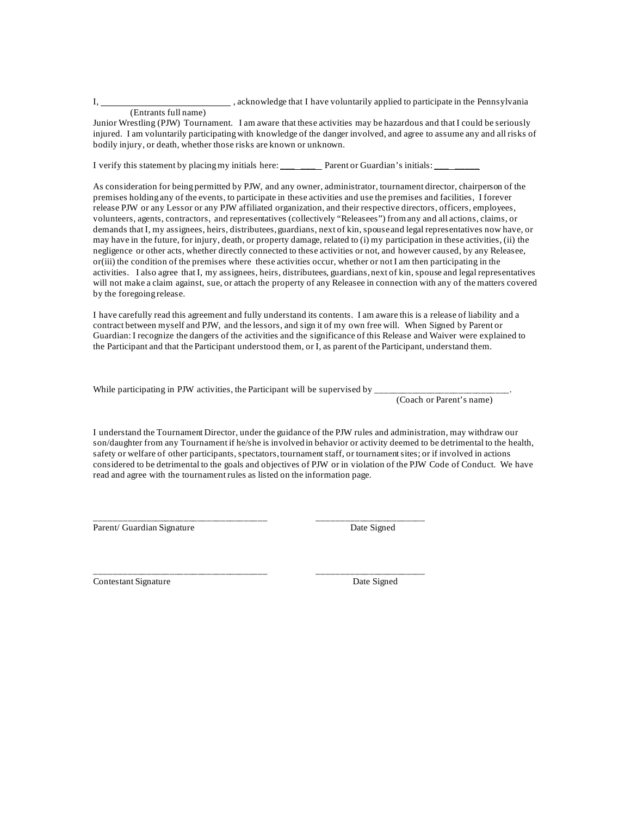I,  $\frac{1}{2}$ , acknowledge that I have voluntarily applied to participate in the Pennsylvania

#### (Entrants full name)

Junior Wrestling (PJW) Tournament. I am aware that these activities may be hazardous and that I could be seriously injured. I am voluntarily participating with knowledge of the danger involved, and agree to assume any and all risks of bodily injury, or death, whether those risks are known or unknown.

I verify this statement by placing my initials here: Parent or Guardian's initials:

As consideration for being permitted by PJW, and any owner, administrator, tournament director, chairperson of the premises holding any of the events, to participate in these activities and use the premises and facilities, I forever release PJW or any Lessor or any PJW affiliated organization, and their respective directors, officers, employees, volunteers, agents, contractors, and representatives (collectively "Releasees") from any and all actions, claims, or demands that I, my assignees, heirs, distributees, guardians, next of kin, spouse and legal representatives now have, or may have in the future, for injury, death, or property damage, related to (i) my participation in these activities, (ii) the negligence or other acts, whether directly connected to these activities or not, and however caused, by any Releasee, or(iii) the condition of the premises where these activities occur, whether or not I am then participating in the activities. I also agree that I, my assignees, heirs, distributees, guardians, next of kin, spouse and legal representatives will not make a claim against, sue, or attach the property of any Releasee in connection with any of the matters covered by the foregoing release.

I have carefully read this agreement and fully understand its contents. I am aware this is a release of liability and a contract between myself and PJW, and the lessors, and sign it of my own free will. When Signed by Parent or Guardian: I recognize the dangers of the activities and the significance of this Release and Waiver were explained to the Participant and that the Participant understood them, or I, as parent of the Participant, understand them.

While participating in PJW activities, the Participant will be supervised by

(Coach or Parent's name)

I understand the Tournament Director, under the guidance of the PJW rules and administration, may withdraw our son/daughter from any Tournament if he/she is involved in behavior or activity deemed to be detrimental to the health, safety or welfare of other participants, spectators, tournament staff, or tournament sites; or if involved in actions considered to be detrimental to the goals and objectives of PJW or in violation of the PJW Code of Conduct. We have read and agree with the tournament rules as listed on the information page.

\_\_\_\_\_\_\_\_\_\_\_\_\_\_\_\_\_\_\_\_\_\_\_\_\_\_\_\_\_\_\_\_\_\_\_\_\_ \_\_\_\_\_\_\_\_\_\_\_\_\_\_\_\_\_\_\_\_\_\_\_ Parent/ Guardian Signature Date Signed

\_\_\_\_\_\_\_\_\_\_\_\_\_\_\_\_\_\_\_\_\_\_\_\_\_\_\_\_\_\_\_\_\_\_\_\_\_ \_\_\_\_\_\_\_\_\_\_\_\_\_\_\_\_\_\_\_\_\_\_\_ Contestant Signature Date Signed